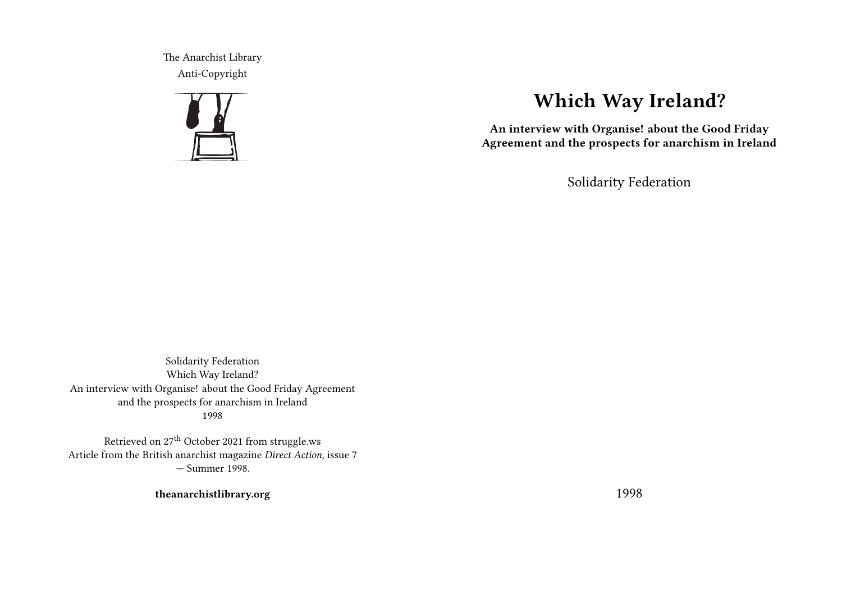The Anarchist Library Anti-Copyright



# **Which Way Ireland?**

**An interview with Organise! about the Good Friday Agreement and the prospects for anarchism in Ireland**

Solidarity Federation

Solidarity Federation Which Way Ireland? An interview with Organise! about the Good Friday Agreement and the prospects for anarchism in Ireland 1998

Retrieved on 27<sup>th</sup> October 2021 from struggle.ws Article from the British anarchist magazine *Direct Action*, issue 7 — Summer 1998.

**theanarchistlibrary.org**

1998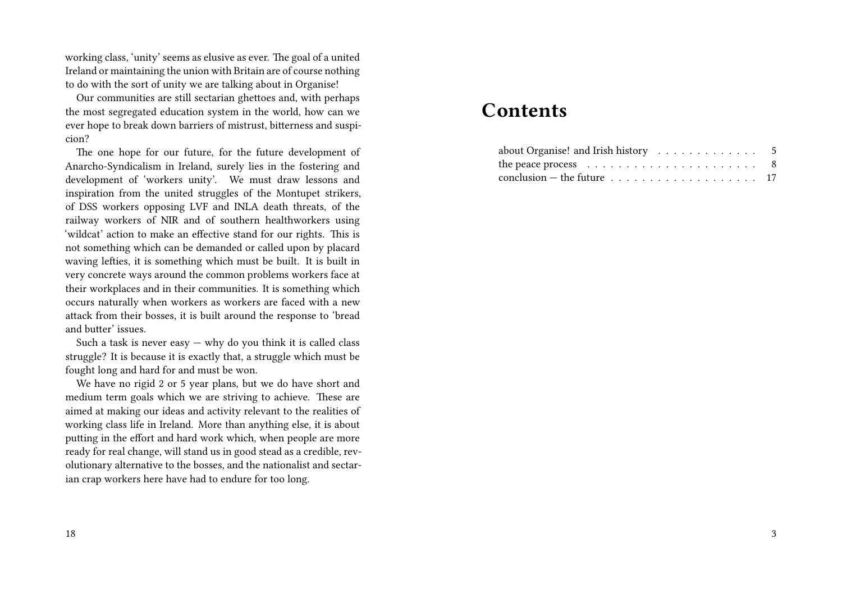working class, 'unity' seems as elusive as ever. The goal of a united Ireland or maintaining the union with Britain are of course nothing to do with the sort of unity we are talking about in Organise!

Our communities are still sectarian ghettoes and, with perhaps the most segregated education system in the world, how can we ever hope to break down barriers of mistrust, bitterness and suspicion?

The one hope for our future, for the future development of Anarcho-Syndicalism in Ireland, surely lies in the fostering and development of 'workers unity'. We must draw lessons and inspiration from the united struggles of the Montupet strikers, of DSS workers opposing LVF and INLA death threats, of the railway workers of NIR and of southern healthworkers using 'wildcat' action to make an effective stand for our rights. This is not something which can be demanded or called upon by placard waving lefties, it is something which must be built. It is built in very concrete ways around the common problems workers face at their workplaces and in their communities. It is something which occurs naturally when workers as workers are faced with a new attack from their bosses, it is built around the response to 'bread and butter' issues.

Such a task is never easy  $-$  why do you think it is called class struggle? It is because it is exactly that, a struggle which must be fought long and hard for and must be won.

We have no rigid 2 or 5 year plans, but we do have short and medium term goals which we are striving to achieve. These are aimed at making our ideas and activity relevant to the realities of working class life in Ireland. More than anything else, it is about putting in the effort and hard work which, when people are more ready for real change, will stand us in good stead as a credible, revolutionary alternative to the bosses, and the nationalist and sectarian crap workers here have had to endure for too long.

## **Contents**

| about Organise! and Irish history $\ldots \ldots \ldots \ldots$ 5      |  |  |  |  |  |  |  |
|------------------------------------------------------------------------|--|--|--|--|--|--|--|
| the peace process $\ldots \ldots \ldots \ldots \ldots \ldots \ldots$ 8 |  |  |  |  |  |  |  |
|                                                                        |  |  |  |  |  |  |  |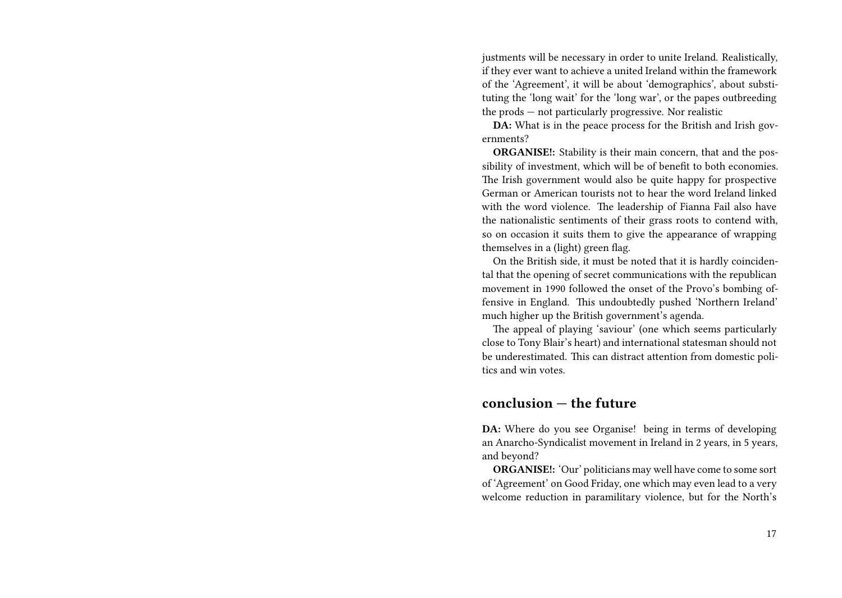justments will be necessary in order to unite Ireland. Realistically, if they ever want to achieve a united Ireland within the framework of the 'Agreement', it will be about 'demographics', about substituting the 'long wait' for the 'long war', or the papes outbreeding the prods — not particularly progressive. Nor realistic

**DA:** What is in the peace process for the British and Irish governments?

**ORGANISE!:** Stability is their main concern, that and the possibility of investment, which will be of benefit to both economies. The Irish government would also be quite happy for prospective German or American tourists not to hear the word Ireland linked with the word violence. The leadership of Fianna Fail also have the nationalistic sentiments of their grass roots to contend with, so on occasion it suits them to give the appearance of wrapping themselves in a (light) green flag.

On the British side, it must be noted that it is hardly coincidental that the opening of secret communications with the republican movement in 1990 followed the onset of the Provo's bombing offensive in England. This undoubtedly pushed 'Northern Ireland' much higher up the British government's agenda.

The appeal of playing 'saviour' (one which seems particularly close to Tony Blair's heart) and international statesman should not be underestimated. This can distract attention from domestic politics and win votes.

#### **conclusion — the future**

**DA:** Where do you see Organise! being in terms of developing an Anarcho-Syndicalist movement in Ireland in 2 years, in 5 years, and beyond?

**ORGANISE!:** 'Our' politicians may well have come to some sort of 'Agreement' on Good Friday, one which may even lead to a very welcome reduction in paramilitary violence, but for the North's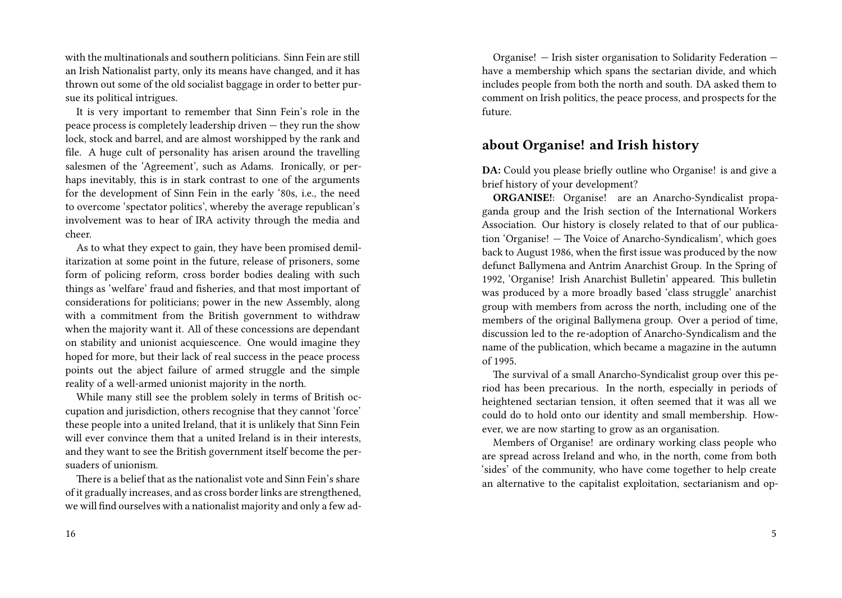with the multinationals and southern politicians. Sinn Fein are still an Irish Nationalist party, only its means have changed, and it has thrown out some of the old socialist baggage in order to better pursue its political intrigues.

It is very important to remember that Sinn Fein's role in the peace process is completely leadership driven — they run the show lock, stock and barrel, and are almost worshipped by the rank and file. A huge cult of personality has arisen around the travelling salesmen of the 'Agreement', such as Adams. Ironically, or perhaps inevitably, this is in stark contrast to one of the arguments for the development of Sinn Fein in the early '80s, i.e., the need to overcome 'spectator politics', whereby the average republican's involvement was to hear of IRA activity through the media and cheer.

As to what they expect to gain, they have been promised demilitarization at some point in the future, release of prisoners, some form of policing reform, cross border bodies dealing with such things as 'welfare' fraud and fisheries, and that most important of considerations for politicians; power in the new Assembly, along with a commitment from the British government to withdraw when the majority want it. All of these concessions are dependant on stability and unionist acquiescence. One would imagine they hoped for more, but their lack of real success in the peace process points out the abject failure of armed struggle and the simple reality of a well-armed unionist majority in the north.

While many still see the problem solely in terms of British occupation and jurisdiction, others recognise that they cannot 'force' these people into a united Ireland, that it is unlikely that Sinn Fein will ever convince them that a united Ireland is in their interests, and they want to see the British government itself become the persuaders of unionism.

There is a belief that as the nationalist vote and Sinn Fein's share of it gradually increases, and as cross border links are strengthened, we will find ourselves with a nationalist majority and only a few ad-

Organise! — Irish sister organisation to Solidarity Federation have a membership which spans the sectarian divide, and which includes people from both the north and south. DA asked them to comment on Irish politics, the peace process, and prospects for the future.

### **about Organise! and Irish history**

**DA:** Could you please briefly outline who Organise! is and give a brief history of your development?

**ORGANISE!**: Organise! are an Anarcho-Syndicalist propaganda group and the Irish section of the International Workers Association. Our history is closely related to that of our publication 'Organise! — The Voice of Anarcho-Syndicalism', which goes back to August 1986, when the first issue was produced by the now defunct Ballymena and Antrim Anarchist Group. In the Spring of 1992, 'Organise! Irish Anarchist Bulletin' appeared. This bulletin was produced by a more broadly based 'class struggle' anarchist group with members from across the north, including one of the members of the original Ballymena group. Over a period of time, discussion led to the re-adoption of Anarcho-Syndicalism and the name of the publication, which became a magazine in the autumn of 1995.

The survival of a small Anarcho-Syndicalist group over this period has been precarious. In the north, especially in periods of heightened sectarian tension, it often seemed that it was all we could do to hold onto our identity and small membership. However, we are now starting to grow as an organisation.

Members of Organise! are ordinary working class people who are spread across Ireland and who, in the north, come from both 'sides' of the community, who have come together to help create an alternative to the capitalist exploitation, sectarianism and op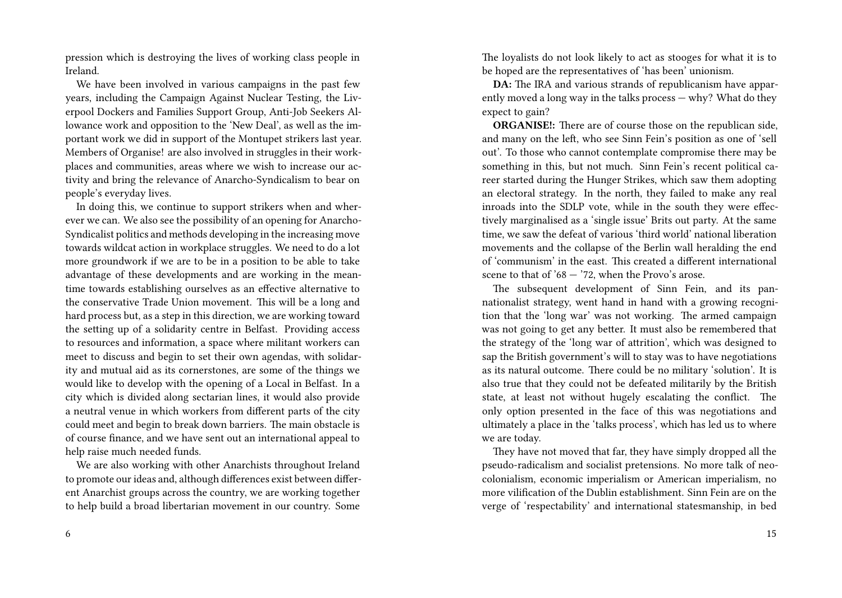pression which is destroying the lives of working class people in Ireland.

We have been involved in various campaigns in the past few years, including the Campaign Against Nuclear Testing, the Liverpool Dockers and Families Support Group, Anti-Job Seekers Allowance work and opposition to the 'New Deal', as well as the important work we did in support of the Montupet strikers last year. Members of Organise! are also involved in struggles in their workplaces and communities, areas where we wish to increase our activity and bring the relevance of Anarcho-Syndicalism to bear on people's everyday lives.

In doing this, we continue to support strikers when and wherever we can. We also see the possibility of an opening for Anarcho-Syndicalist politics and methods developing in the increasing move towards wildcat action in workplace struggles. We need to do a lot more groundwork if we are to be in a position to be able to take advantage of these developments and are working in the meantime towards establishing ourselves as an effective alternative to the conservative Trade Union movement. This will be a long and hard process but, as a step in this direction, we are working toward the setting up of a solidarity centre in Belfast. Providing access to resources and information, a space where militant workers can meet to discuss and begin to set their own agendas, with solidarity and mutual aid as its cornerstones, are some of the things we would like to develop with the opening of a Local in Belfast. In a city which is divided along sectarian lines, it would also provide a neutral venue in which workers from different parts of the city could meet and begin to break down barriers. The main obstacle is of course finance, and we have sent out an international appeal to help raise much needed funds.

We are also working with other Anarchists throughout Ireland to promote our ideas and, although differences exist between different Anarchist groups across the country, we are working together to help build a broad libertarian movement in our country. Some

The loyalists do not look likely to act as stooges for what it is to be hoped are the representatives of 'has been' unionism.

**DA:** The IRA and various strands of republicanism have apparently moved a long way in the talks process — why? What do they expect to gain?

**ORGANISE!:** There are of course those on the republican side, and many on the left, who see Sinn Fein's position as one of 'sell out'. To those who cannot contemplate compromise there may be something in this, but not much. Sinn Fein's recent political career started during the Hunger Strikes, which saw them adopting an electoral strategy. In the north, they failed to make any real inroads into the SDLP vote, while in the south they were effectively marginalised as a 'single issue' Brits out party. At the same time, we saw the defeat of various 'third world' national liberation movements and the collapse of the Berlin wall heralding the end of 'communism' in the east. This created a different international scene to that of  $68 - 72$ , when the Provo's arose.

The subsequent development of Sinn Fein, and its pannationalist strategy, went hand in hand with a growing recognition that the 'long war' was not working. The armed campaign was not going to get any better. It must also be remembered that the strategy of the 'long war of attrition', which was designed to sap the British government's will to stay was to have negotiations as its natural outcome. There could be no military 'solution'. It is also true that they could not be defeated militarily by the British state, at least not without hugely escalating the conflict. The only option presented in the face of this was negotiations and ultimately a place in the 'talks process', which has led us to where we are today.

They have not moved that far, they have simply dropped all the pseudo-radicalism and socialist pretensions. No more talk of neocolonialism, economic imperialism or American imperialism, no more vilification of the Dublin establishment. Sinn Fein are on the verge of 'respectability' and international statesmanship, in bed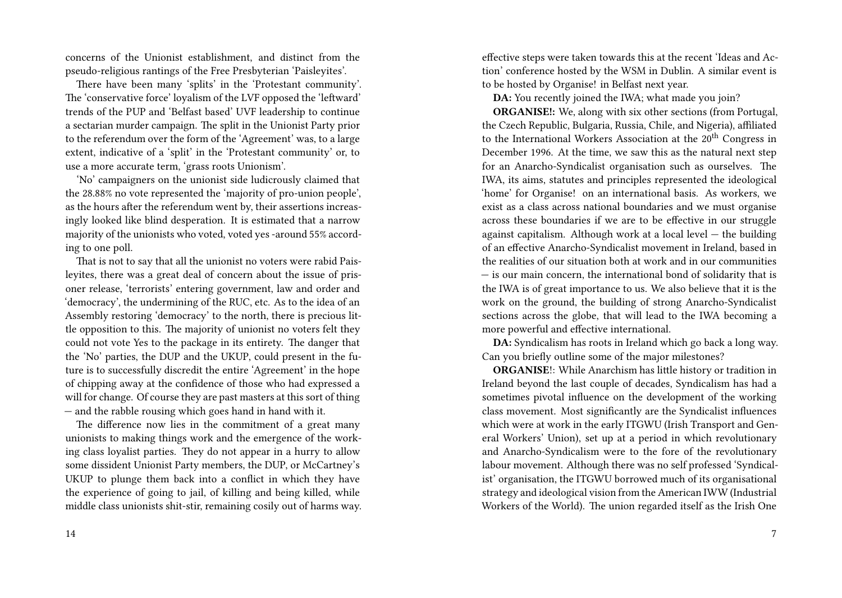concerns of the Unionist establishment, and distinct from the pseudo-religious rantings of the Free Presbyterian 'Paisleyites'.

There have been many 'splits' in the 'Protestant community'. The 'conservative force' loyalism of the LVF opposed the 'leftward' trends of the PUP and 'Belfast based' UVF leadership to continue a sectarian murder campaign. The split in the Unionist Party prior to the referendum over the form of the 'Agreement' was, to a large extent, indicative of a 'split' in the 'Protestant community' or, to use a more accurate term, 'grass roots Unionism'.

'No' campaigners on the unionist side ludicrously claimed that the 28.88% no vote represented the 'majority of pro-union people', as the hours after the referendum went by, their assertions increasingly looked like blind desperation. It is estimated that a narrow majority of the unionists who voted, voted yes -around 55% according to one poll.

That is not to say that all the unionist no voters were rabid Paisleyites, there was a great deal of concern about the issue of prisoner release, 'terrorists' entering government, law and order and 'democracy', the undermining of the RUC, etc. As to the idea of an Assembly restoring 'democracy' to the north, there is precious little opposition to this. The majority of unionist no voters felt they could not vote Yes to the package in its entirety. The danger that the 'No' parties, the DUP and the UKUP, could present in the future is to successfully discredit the entire 'Agreement' in the hope of chipping away at the confidence of those who had expressed a will for change. Of course they are past masters at this sort of thing — and the rabble rousing which goes hand in hand with it.

The difference now lies in the commitment of a great many unionists to making things work and the emergence of the working class loyalist parties. They do not appear in a hurry to allow some dissident Unionist Party members, the DUP, or McCartney's UKUP to plunge them back into a conflict in which they have the experience of going to jail, of killing and being killed, while middle class unionists shit-stir, remaining cosily out of harms way.

effective steps were taken towards this at the recent 'Ideas and Action' conference hosted by the WSM in Dublin. A similar event is to be hosted by Organise! in Belfast next year.

**DA:** You recently joined the IWA; what made you join?

**ORGANISE!:** We, along with six other sections (from Portugal, the Czech Republic, Bulgaria, Russia, Chile, and Nigeria), affiliated to the International Workers Association at the 20<sup>th</sup> Congress in December 1996. At the time, we saw this as the natural next step for an Anarcho-Syndicalist organisation such as ourselves. The IWA, its aims, statutes and principles represented the ideological 'home' for Organise! on an international basis. As workers, we exist as a class across national boundaries and we must organise across these boundaries if we are to be effective in our struggle against capitalism. Although work at a local level — the building of an effective Anarcho-Syndicalist movement in Ireland, based in the realities of our situation both at work and in our communities — is our main concern, the international bond of solidarity that is the IWA is of great importance to us. We also believe that it is the work on the ground, the building of strong Anarcho-Syndicalist sections across the globe, that will lead to the IWA becoming a more powerful and effective international.

**DA:** Syndicalism has roots in Ireland which go back a long way. Can you briefly outline some of the major milestones?

**ORGANISE**!: While Anarchism has little history or tradition in Ireland beyond the last couple of decades, Syndicalism has had a sometimes pivotal influence on the development of the working class movement. Most significantly are the Syndicalist influences which were at work in the early ITGWU (Irish Transport and General Workers' Union), set up at a period in which revolutionary and Anarcho-Syndicalism were to the fore of the revolutionary labour movement. Although there was no self professed 'Syndicalist' organisation, the ITGWU borrowed much of its organisational strategy and ideological vision from the American IWW (Industrial Workers of the World). The union regarded itself as the Irish One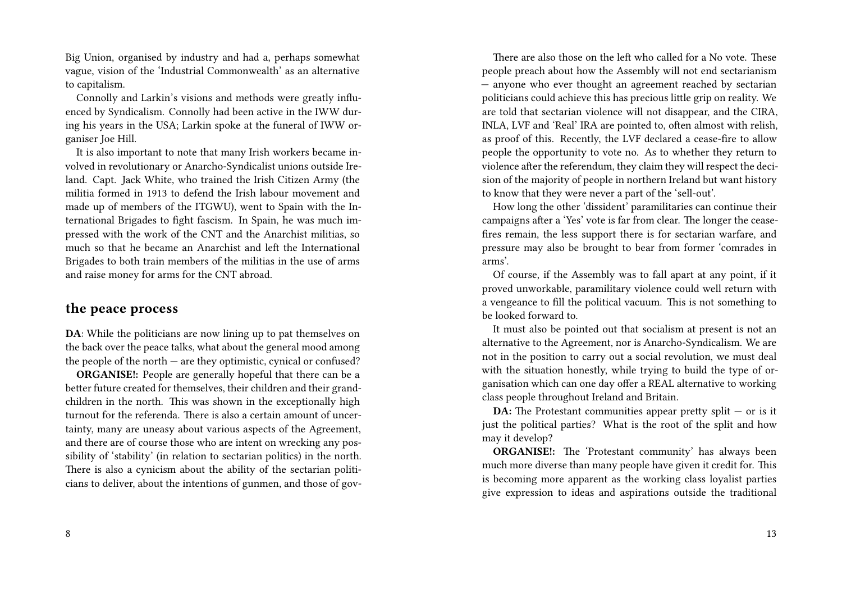Big Union, organised by industry and had a, perhaps somewhat vague, vision of the 'Industrial Commonwealth' as an alternative to capitalism.

Connolly and Larkin's visions and methods were greatly influenced by Syndicalism. Connolly had been active in the IWW during his years in the USA; Larkin spoke at the funeral of IWW organiser Joe Hill.

It is also important to note that many Irish workers became involved in revolutionary or Anarcho-Syndicalist unions outside Ireland. Capt. Jack White, who trained the Irish Citizen Army (the militia formed in 1913 to defend the Irish labour movement and made up of members of the ITGWU), went to Spain with the International Brigades to fight fascism. In Spain, he was much impressed with the work of the CNT and the Anarchist militias, so much so that he became an Anarchist and left the International Brigades to both train members of the militias in the use of arms and raise money for arms for the CNT abroad.

#### **the peace process**

**DA**: While the politicians are now lining up to pat themselves on the back over the peace talks, what about the general mood among the people of the north  $-$  are they optimistic, cynical or confused?

**ORGANISE!:** People are generally hopeful that there can be a better future created for themselves, their children and their grandchildren in the north. This was shown in the exceptionally high turnout for the referenda. There is also a certain amount of uncertainty, many are uneasy about various aspects of the Agreement, and there are of course those who are intent on wrecking any possibility of 'stability' (in relation to sectarian politics) in the north. There is also a cynicism about the ability of the sectarian politicians to deliver, about the intentions of gunmen, and those of gov-

There are also those on the left who called for a No vote. These people preach about how the Assembly will not end sectarianism — anyone who ever thought an agreement reached by sectarian politicians could achieve this has precious little grip on reality. We are told that sectarian violence will not disappear, and the CIRA, INLA, LVF and 'Real' IRA are pointed to, often almost with relish, as proof of this. Recently, the LVF declared a cease-fire to allow people the opportunity to vote no. As to whether they return to violence after the referendum, they claim they will respect the decision of the majority of people in northern Ireland but want history to know that they were never a part of the 'sell-out'.

How long the other 'dissident' paramilitaries can continue their campaigns after a 'Yes' vote is far from clear. The longer the ceasefires remain, the less support there is for sectarian warfare, and pressure may also be brought to bear from former 'comrades in arms'.

Of course, if the Assembly was to fall apart at any point, if it proved unworkable, paramilitary violence could well return with a vengeance to fill the political vacuum. This is not something to be looked forward to.

It must also be pointed out that socialism at present is not an alternative to the Agreement, nor is Anarcho-Syndicalism. We are not in the position to carry out a social revolution, we must deal with the situation honestly, while trying to build the type of organisation which can one day offer a REAL alternative to working class people throughout Ireland and Britain.

**DA:** The Protestant communities appear pretty split – or is it just the political parties? What is the root of the split and how may it develop?

**ORGANISE!:** The 'Protestant community' has always been much more diverse than many people have given it credit for. This is becoming more apparent as the working class loyalist parties give expression to ideas and aspirations outside the traditional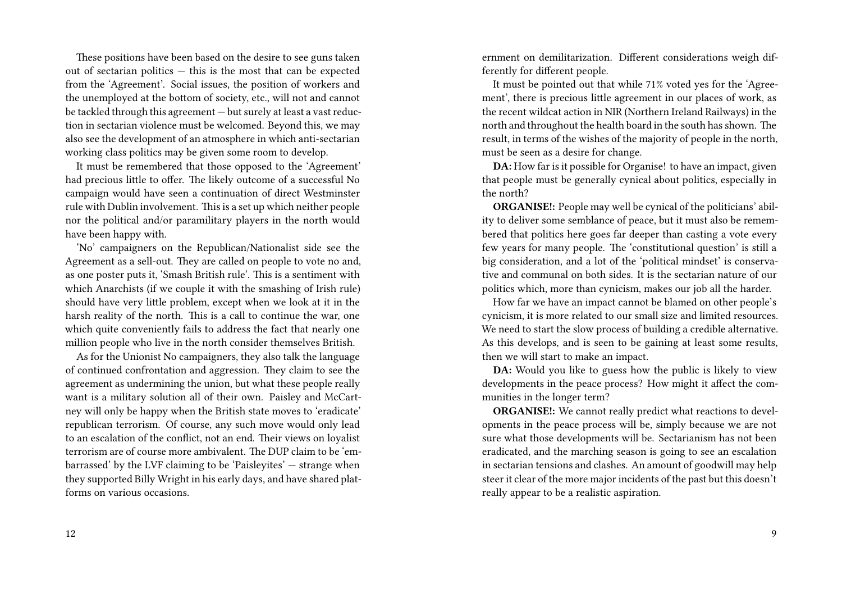These positions have been based on the desire to see guns taken out of sectarian politics — this is the most that can be expected from the 'Agreement'. Social issues, the position of workers and the unemployed at the bottom of society, etc., will not and cannot be tackled through this agreement — but surely at least a vast reduction in sectarian violence must be welcomed. Beyond this, we may also see the development of an atmosphere in which anti-sectarian working class politics may be given some room to develop.

It must be remembered that those opposed to the 'Agreement' had precious little to offer. The likely outcome of a successful No campaign would have seen a continuation of direct Westminster rule with Dublin involvement. This is a set up which neither people nor the political and/or paramilitary players in the north would have been happy with.

'No' campaigners on the Republican/Nationalist side see the Agreement as a sell-out. They are called on people to vote no and, as one poster puts it, 'Smash British rule'. This is a sentiment with which Anarchists (if we couple it with the smashing of Irish rule) should have very little problem, except when we look at it in the harsh reality of the north. This is a call to continue the war, one which quite conveniently fails to address the fact that nearly one million people who live in the north consider themselves British.

As for the Unionist No campaigners, they also talk the language of continued confrontation and aggression. They claim to see the agreement as undermining the union, but what these people really want is a military solution all of their own. Paisley and McCartney will only be happy when the British state moves to 'eradicate' republican terrorism. Of course, any such move would only lead to an escalation of the conflict, not an end. Their views on loyalist terrorism are of course more ambivalent. The DUP claim to be 'embarrassed' by the LVF claiming to be 'Paisleyites' — strange when they supported Billy Wright in his early days, and have shared platforms on various occasions.

12

ernment on demilitarization. Different considerations weigh differently for different people.

It must be pointed out that while 71% voted yes for the 'Agreement', there is precious little agreement in our places of work, as the recent wildcat action in NIR (Northern Ireland Railways) in the north and throughout the health board in the south has shown. The result, in terms of the wishes of the majority of people in the north, must be seen as a desire for change.

**DA:** How far is it possible for Organise! to have an impact, given that people must be generally cynical about politics, especially in the north?

**ORGANISE!:** People may well be cynical of the politicians' ability to deliver some semblance of peace, but it must also be remembered that politics here goes far deeper than casting a vote every few years for many people. The 'constitutional question' is still a big consideration, and a lot of the 'political mindset' is conservative and communal on both sides. It is the sectarian nature of our politics which, more than cynicism, makes our job all the harder.

How far we have an impact cannot be blamed on other people's cynicism, it is more related to our small size and limited resources. We need to start the slow process of building a credible alternative. As this develops, and is seen to be gaining at least some results, then we will start to make an impact.

**DA:** Would you like to guess how the public is likely to view developments in the peace process? How might it affect the communities in the longer term?

**ORGANISE!:** We cannot really predict what reactions to developments in the peace process will be, simply because we are not sure what those developments will be. Sectarianism has not been eradicated, and the marching season is going to see an escalation in sectarian tensions and clashes. An amount of goodwill may help steer it clear of the more major incidents of the past but this doesn't really appear to be a realistic aspiration.